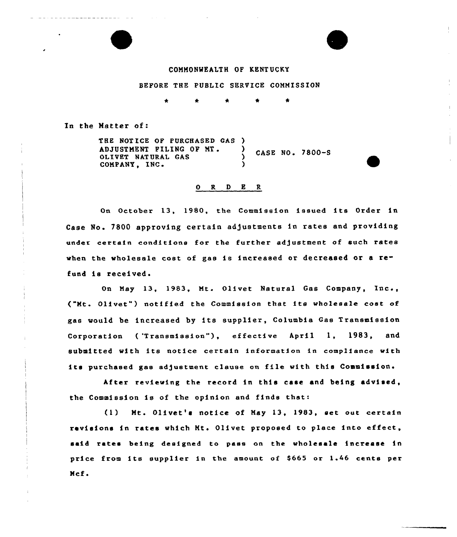### COMMONMEALTH OF KENTUCKY

BEFORE THE PUBLIC SERVICE COMMISSION

In the Natter of:

THE NOTICE OF PURCHASED GAS ) ADJUSTMENT FILING OF MT. ) CASE NO. 7800-S<br>OLIVET NATURAL GAS ) CASE NO. 7800-S COMPANY, INC.

## 0 R <sup>D</sup> E R

On October 13, 1980, the Commission issued its Order in Case No. 7800 approving certain adjustments in rates and providin under certain conditions for the further adjustment of such rates when the wholesale cost of gas is increased or decreased or a refund is received.

On May 13, 1983, Mt. Olivet Natural Gas Compan<mark>y</mark>, Inc., ("Mt. Olivet") notified the Commission that its wholesale cost of gas would be increased by its supplier, Columbia Gas Transmission Corporation ('Transmission"), effective April 1, 1983, and submitted with its notice certain information in compliance with its purchased gas adjustment clause on file with this Commission. anions

After reviewing the record in this case and being advised, the Commission is of the opinion and finds that:

(1) Ht. Olivet's notice of May 13, 1983, set out certain revisions in rates which Mt. Olivet proposed to place into effect said rates being designed to pase on the wholesale increase in price from its supplier in the amount of \$665 or 1.46 cents per Mcf.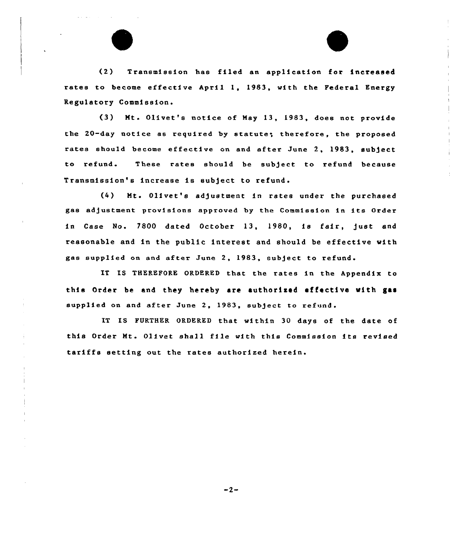(2) Transmission has filed an application for increased rates to become effective April 1, 1983, with the Federal Energy Regulatory Commission.

(3) Mt. Olivet's notice of May 13, 1983, does not provide the 20-day notice as required by statute, therefore, the proposed rates should become effective on and after June 2, 1983, subject to refund. These rates should be subject to refund because Transmission's increase is subject to refund.

(4) Mt. Olivet's adjustment in rates under the purchased gas adjustment provisions approved by the Commission in its Order in Case No. 7800 dated October 13, 1980, is fair, just and reasonable and in the public interest and should be effective with gas supplied on and after June 2, 1983, subject to refund

IT IS THEREFORE ORDERED that the rates in the Appendix to this Order be and they hereby are authorized effective with gas supplied on and after June 2, 1983, subject to refund.

IT IS FURTHER ORDERED that within 30 days of the date of this Order Mt. Olivet shall file with this Commission its revised tariffs setting out the rates authorized herein.

 $-2-$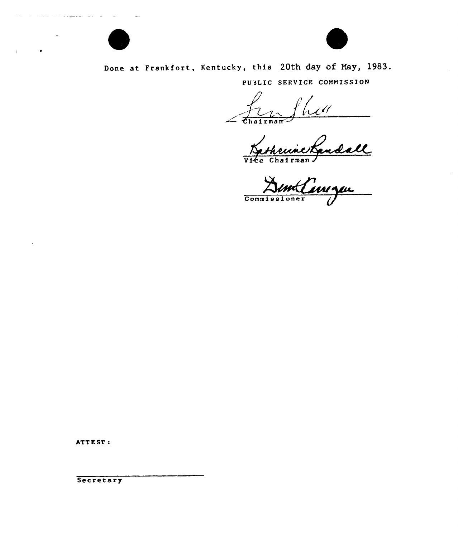

# Done at Frankfort, Kentucky, this 20th day of May, 1983.

PUdLIC SERVICE COMMISSION

 $\overline{\mathcal{U}}$ 

Katheunet

Commissions r

ATTEST:

and the company's

Secretary